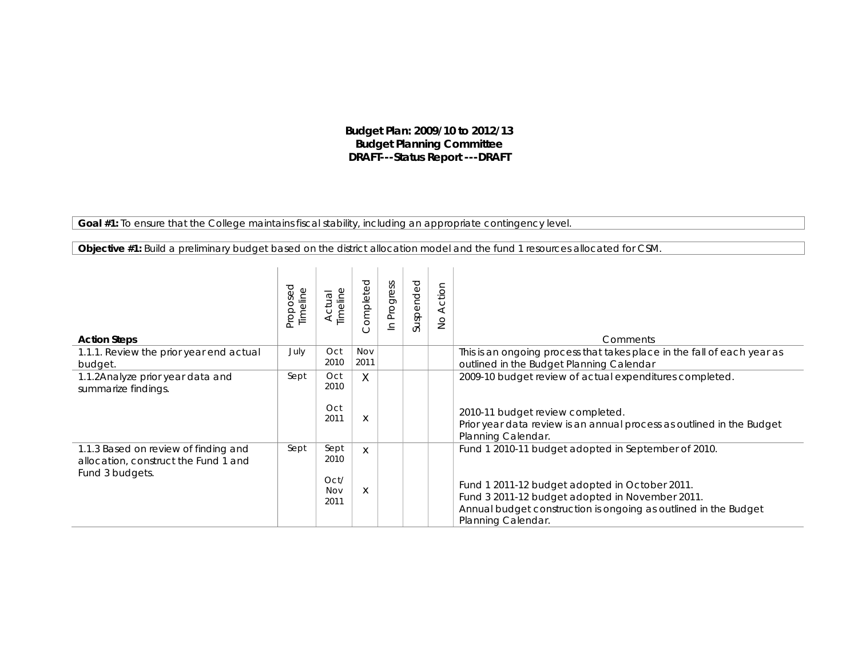## **Budget Plan: 2009/10 to 2012/13 Budget Planning Committee DRAFT---Status Report ---DRAFT**

**Goal #1:** *To ensure that the College maintains fiscal stability, including an appropriate contingency level.*

| <b>Objective #1:</b> Build a preliminary budget based on the district allocation model and the fund 1 resources allocated for CSM. |  |  |  |  |  |
|------------------------------------------------------------------------------------------------------------------------------------|--|--|--|--|--|
|                                                                                                                                    |  |  |  |  |  |

| <b>Action Steps</b>                                                                             | <b>Proposed</b><br>Timeline | Timeline<br>Actual                  | Completed   | In Progress | Suspended | Action<br>$\stackrel{\circ}{\simeq}$ | Comments                                                                                                                                                                                                                                          |
|-------------------------------------------------------------------------------------------------|-----------------------------|-------------------------------------|-------------|-------------|-----------|--------------------------------------|---------------------------------------------------------------------------------------------------------------------------------------------------------------------------------------------------------------------------------------------------|
| 1.1.1. Review the prior year end actual<br>budget.                                              | July                        | Oct<br>2010                         | Nov<br>2011 |             |           |                                      | This is an ongoing process that takes place in the fall of each year as<br>outlined in the Budget Planning Calendar                                                                                                                               |
| 1.1.2Analyze prior year data and<br>summarize findings.                                         | Sept                        | Oct<br>2010<br>Oct<br>2011          | X<br>X      |             |           |                                      | 2009-10 budget review of actual expenditures completed.<br>2010-11 budget review completed.<br>Prior year data review is an annual process as outlined in the Budget<br>Planning Calendar.                                                        |
| 1.1.3 Based on review of finding and<br>allocation, construct the Fund 1 and<br>Fund 3 budgets. | Sept                        | Sept<br>2010<br>Oct/<br>Nov<br>2011 | X<br>X      |             |           |                                      | Fund 1 2010-11 budget adopted in September of 2010.<br>Fund 1 2011-12 budget adopted in October 2011.<br>Fund 3 2011-12 budget adopted in November 2011.<br>Annual budget construction is ongoing as outlined in the Budget<br>Planning Calendar. |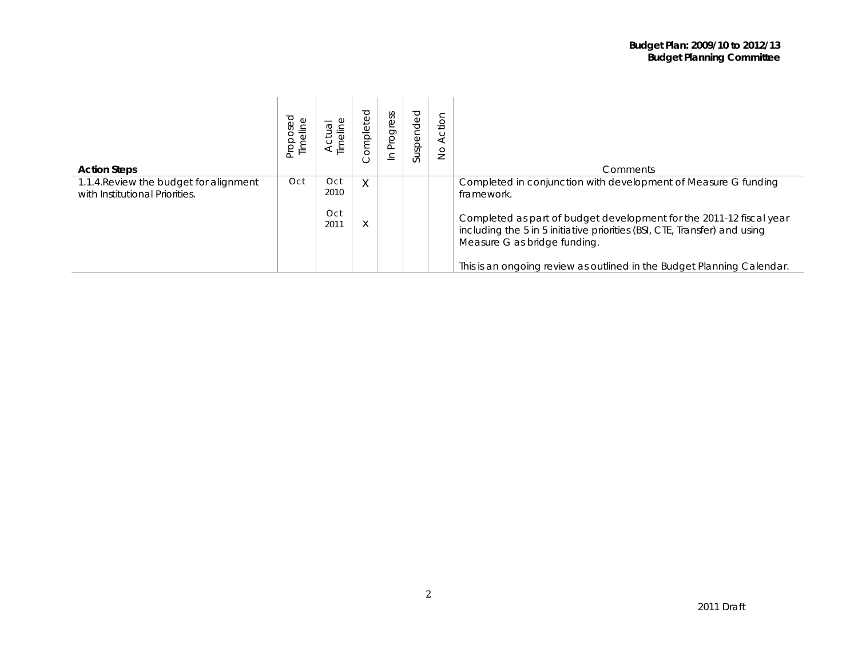| <b>Action Steps</b>                                                      | Proposed<br>Timelin | ⋣<br>$\bar{\bar{0}}$       | ompleted | ess<br>Progre<br>으 | Suspended | Action<br>$\frac{1}{2}$ | Comments                                                                                                                                                                                                                                                         |
|--------------------------------------------------------------------------|---------------------|----------------------------|----------|--------------------|-----------|-------------------------|------------------------------------------------------------------------------------------------------------------------------------------------------------------------------------------------------------------------------------------------------------------|
| 1.1.4. Review the budget for alignment<br>with Institutional Priorities. | Oct                 | Oct<br>2010<br>Oct<br>201' | X<br>Χ   |                    |           |                         | Completed in conjunction with development of Measure G funding<br>framework.<br>Completed as part of budget development for the 2011-12 fiscal year<br>including the 5 in 5 initiative priorities (BSI, CTE, Transfer) and using<br>Measure G as bridge funding. |
|                                                                          |                     |                            |          |                    |           |                         | This is an ongoing review as outlined in the Budget Planning Calendar.                                                                                                                                                                                           |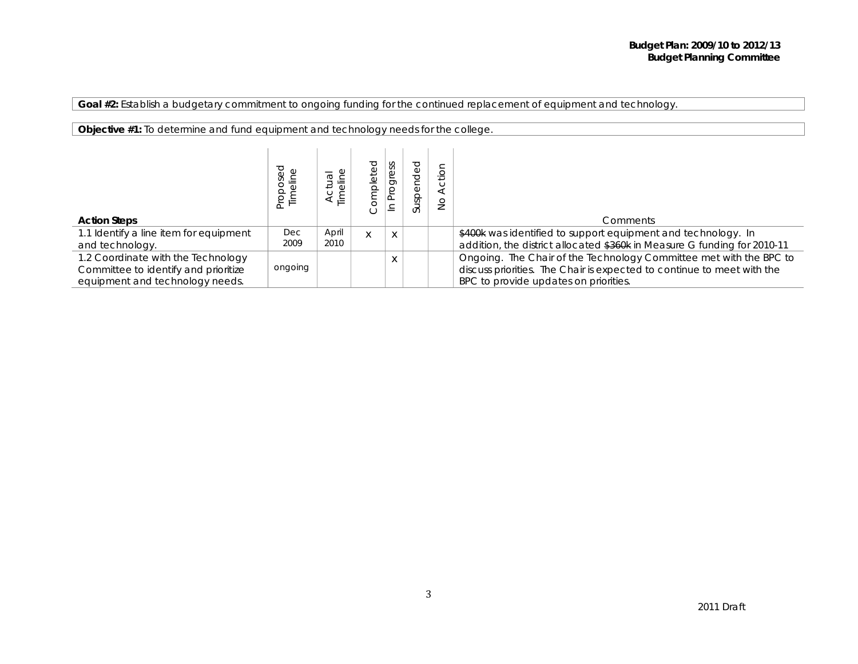**Goal #2:** *Establish a budgetary commitment to ongoing funding for the continued replacement of equipment and technology.*

**Objective #1:** *To determine and fund equipment and technology needs for the college.*

|                                        | pes<br>≑ | len <sub>1</sub><br>Timeline<br>⋖ | ℧ | ess<br>ğ<br>≐ | ℧<br>pop<br>$\overleftarrow{\Phi}$<br><b>QS</b><br>ದ | io<br>$\frac{0}{2}$ |                                                                          |
|----------------------------------------|----------|-----------------------------------|---|---------------|------------------------------------------------------|---------------------|--------------------------------------------------------------------------|
| <b>Action Steps</b>                    |          |                                   |   |               |                                                      |                     | <b>Comments</b>                                                          |
| 1.1 Identify a line item for equipment | Dec      | April                             | X | X             |                                                      |                     | \$400k was identified to support equipment and technology. In            |
| and technology.                        | 2009     | 2010                              |   |               |                                                      |                     | addition, the district allocated \$360k in Measure G funding for 2010-11 |
| 1.2 Coordinate with the Technology     |          |                                   |   | X             |                                                      |                     | Ongoing. The Chair of the Technology Committee met with the BPC to       |
| Committee to identify and prioritize   | ongoing  |                                   |   |               |                                                      |                     | discuss priorities. The Chair is expected to continue to meet with the   |
| equipment and technology needs.        |          |                                   |   |               |                                                      |                     | BPC to provide updates on priorities.                                    |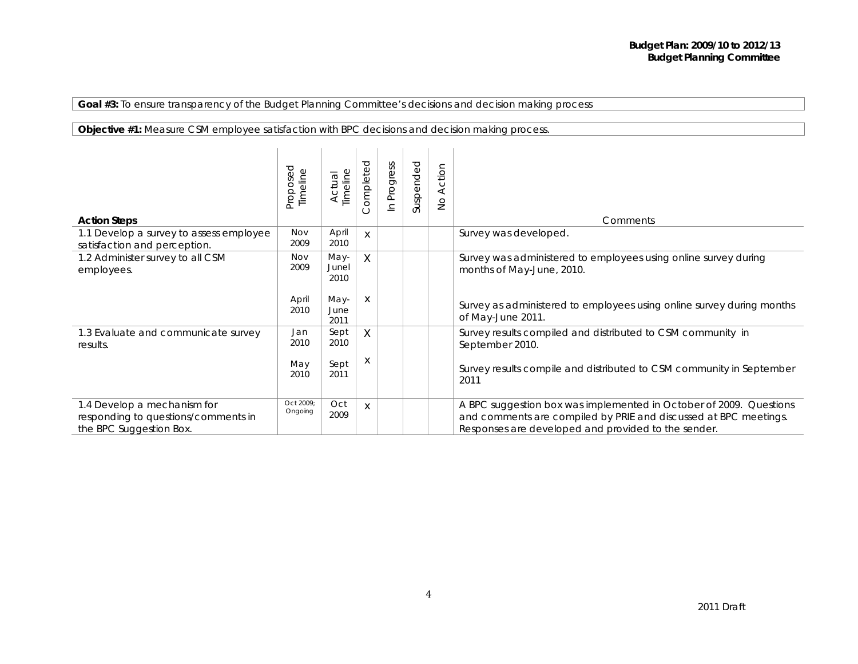## **Goal #3:** *To ensure transparency of the Budget Planning Committee's decisions and decision making process*

## **Objective #1:** *Measure CSM employee satisfaction with BPC decisions and decision making process.*

| <b>Action Steps</b>                                                                           | Proposed<br>Timeline | Timeline<br>Actual    | ompleted | Progress<br>$\equiv$ | Suspended | Action<br>$\frac{1}{2}$ | Comments                                                                                                                                                                                      |
|-----------------------------------------------------------------------------------------------|----------------------|-----------------------|----------|----------------------|-----------|-------------------------|-----------------------------------------------------------------------------------------------------------------------------------------------------------------------------------------------|
| 1.1 Develop a survey to assess employee<br>satisfaction and perception.                       | Nov<br>2009          | April<br>2010         | X        |                      |           |                         | Survey was developed.                                                                                                                                                                         |
| 1.2 Administer survey to all CSM<br>employees.                                                | Nov<br>2009          | May-<br>Junel<br>2010 | X        |                      |           |                         | Survey was administered to employees using online survey during<br>months of May-June, 2010.                                                                                                  |
|                                                                                               | April<br>2010        | May-<br>June<br>2011  | X        |                      |           |                         | Survey as administered to employees using online survey during months<br>of May-June 2011.                                                                                                    |
| 1.3 Evaluate and communicate survey<br>results.                                               | Jan<br>2010          | Sept<br>2010          | X        |                      |           |                         | Survey results compiled and distributed to CSM community in<br>September 2010.                                                                                                                |
|                                                                                               | May<br>2010          | Sept<br>2011          | X        |                      |           |                         | Survey results compile and distributed to CSM community in September<br>2011                                                                                                                  |
| 1.4 Develop a mechanism for<br>responding to questions/comments in<br>the BPC Suggestion Box. | Oct 2009:<br>Ongoing | Oct<br>2009           | X        |                      |           |                         | A BPC suggestion box was implemented in October of 2009. Questions<br>and comments are compiled by PRIE and discussed at BPC meetings.<br>Responses are developed and provided to the sender. |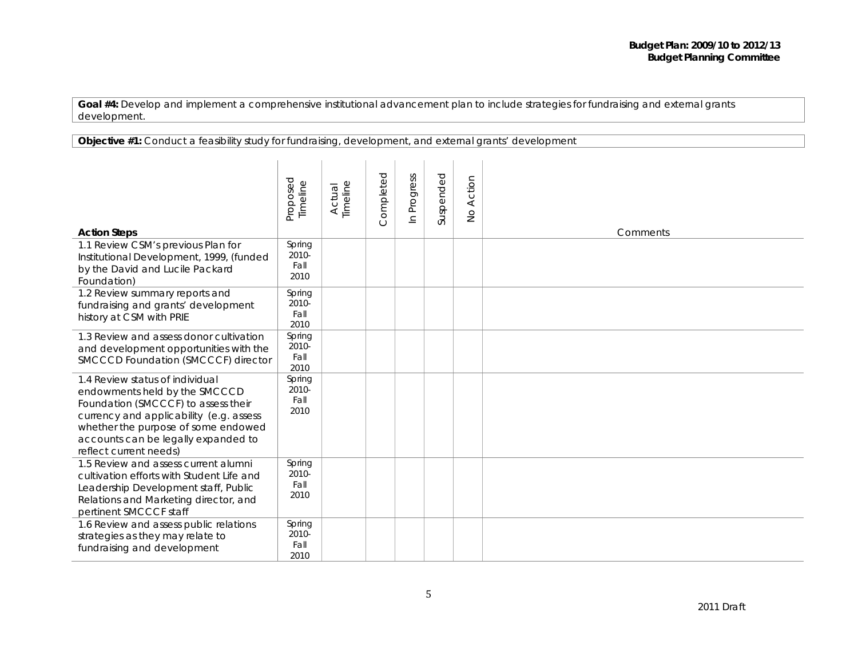| <b>Objective #1:</b> Conduct a feasibility study for fundraising, development, and external grants' development |  |  |
|-----------------------------------------------------------------------------------------------------------------|--|--|
|                                                                                                                 |  |  |

| <b>Action Steps</b>                                                                                                                                                                                                                                        | Proposed<br>Timeline               | Actual<br>Timeline | Completed | Progress<br>$\mathbf{u}$ | Suspended | Action<br>$\mathop{\mathsf{SO}}\nolimits$ | Comments |
|------------------------------------------------------------------------------------------------------------------------------------------------------------------------------------------------------------------------------------------------------------|------------------------------------|--------------------|-----------|--------------------------|-----------|-------------------------------------------|----------|
| 1.1 Review CSM's previous Plan for<br>Institutional Development, 1999, (funded<br>by the David and Lucile Packard<br>Foundation)                                                                                                                           | Spring<br>$2010 -$<br>Fall<br>2010 |                    |           |                          |           |                                           |          |
| 1.2 Review summary reports and<br>fundraising and grants' development<br>history at CSM with PRIE                                                                                                                                                          | Spring<br>$2010 -$<br>Fall<br>2010 |                    |           |                          |           |                                           |          |
| 1.3 Review and assess donor cultivation<br>and development opportunities with the<br>SMCCCD Foundation (SMCCCF) director                                                                                                                                   | Spring<br>2010-<br>Fall<br>2010    |                    |           |                          |           |                                           |          |
| 1.4 Review status of individual<br>endowments held by the SMCCCD<br>Foundation (SMCCCF) to assess their<br>currency and applicability (e.g. assess<br>whether the purpose of some endowed<br>accounts can be legally expanded to<br>reflect current needs) | Spring<br>2010-<br>Fall<br>2010    |                    |           |                          |           |                                           |          |
| 1.5 Review and assess current alumni<br>cultivation efforts with Student Life and<br>Leadership Development staff, Public<br>Relations and Marketing director, and<br>pertinent SMCCCF staff                                                               | Spring<br>$2010 -$<br>Fall<br>2010 |                    |           |                          |           |                                           |          |
| 1.6 Review and assess public relations<br>strategies as they may relate to<br>fundraising and development                                                                                                                                                  | Spring<br>2010-<br>Fall<br>2010    |                    |           |                          |           |                                           |          |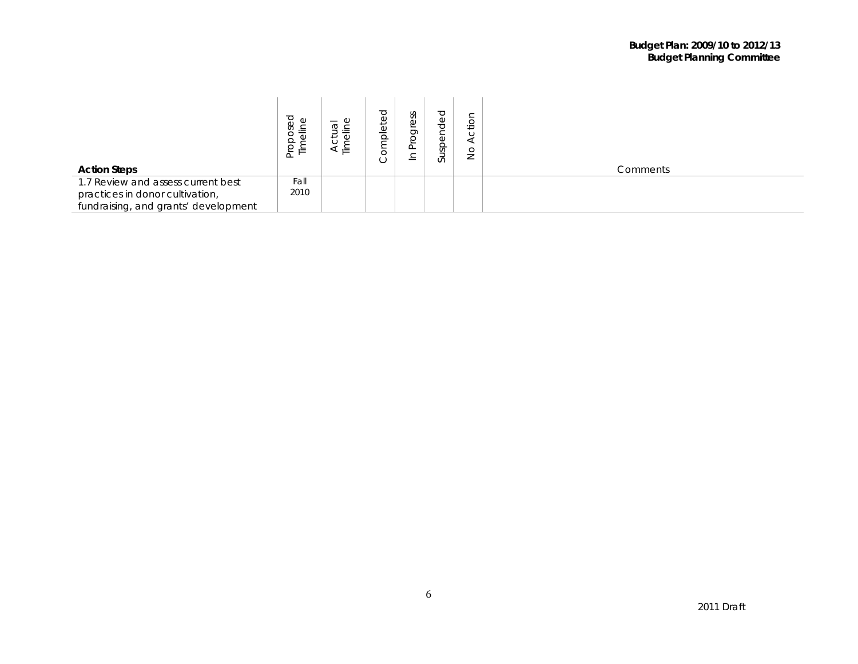|                                      | osed<br>$\circ$<br>高<br>$\overline{5}$<br>로 보 | Ψ<br>$\overline{\sigma}$<br>$\overline{\phantom{0}}$<br>∸. | Φ<br>$\frac{1}{\alpha}$<br>$\check{ }$ | ess<br>≍<br><u>_</u><br>– | ပ<br>$\overline{\mathbb{Q}}$<br>Ô<br>ō<br>Sp<br>ದ | ≚<br>◡<br>⇁<br>∸ |          |
|--------------------------------------|-----------------------------------------------|------------------------------------------------------------|----------------------------------------|---------------------------|---------------------------------------------------|------------------|----------|
| <b>Action Steps</b>                  |                                               |                                                            |                                        |                           |                                                   |                  | Comments |
| 1.7 Review and assess current best   | Fall                                          |                                                            |                                        |                           |                                                   |                  |          |
| practices in donor cultivation,      | 2010                                          |                                                            |                                        |                           |                                                   |                  |          |
| fundraising, and grants' development |                                               |                                                            |                                        |                           |                                                   |                  |          |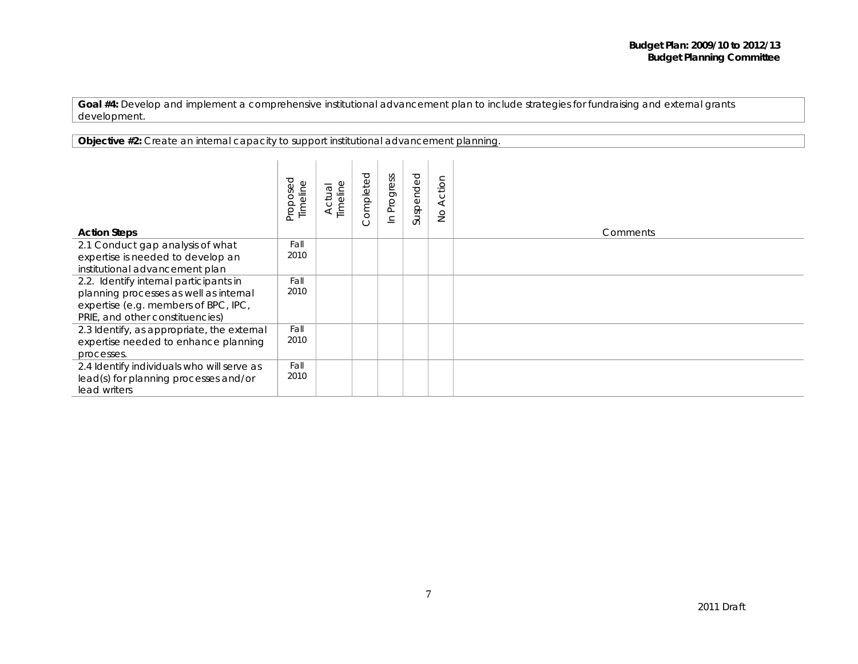**Objective #2:** *Create an internal capacity to support institutional advancement planning.*

| <b>Action Steps</b>                                                                                                                                         | Proposed<br>Timeline | limeline<br>Actual | ompleted | In Progress | Suspended | Action<br>$\frac{1}{2}$ | Comments |
|-------------------------------------------------------------------------------------------------------------------------------------------------------------|----------------------|--------------------|----------|-------------|-----------|-------------------------|----------|
| 2.1 Conduct gap analysis of what<br>expertise is needed to develop an<br>institutional advancement plan                                                     | Fall<br>2010         |                    |          |             |           |                         |          |
| 2.2. Identify internal participants in<br>planning processes as well as internal<br>expertise (e.g. members of BPC, IPC,<br>PRIE, and other constituencies) | Fall<br>2010         |                    |          |             |           |                         |          |
| 2.3 Identify, as appropriate, the external<br>expertise needed to enhance planning<br>processes.                                                            | Fall<br>2010         |                    |          |             |           |                         |          |
| 2.4 Identify individuals who will serve as<br>lead(s) for planning processes and/or<br>lead writers                                                         | Fall<br>2010         |                    |          |             |           |                         |          |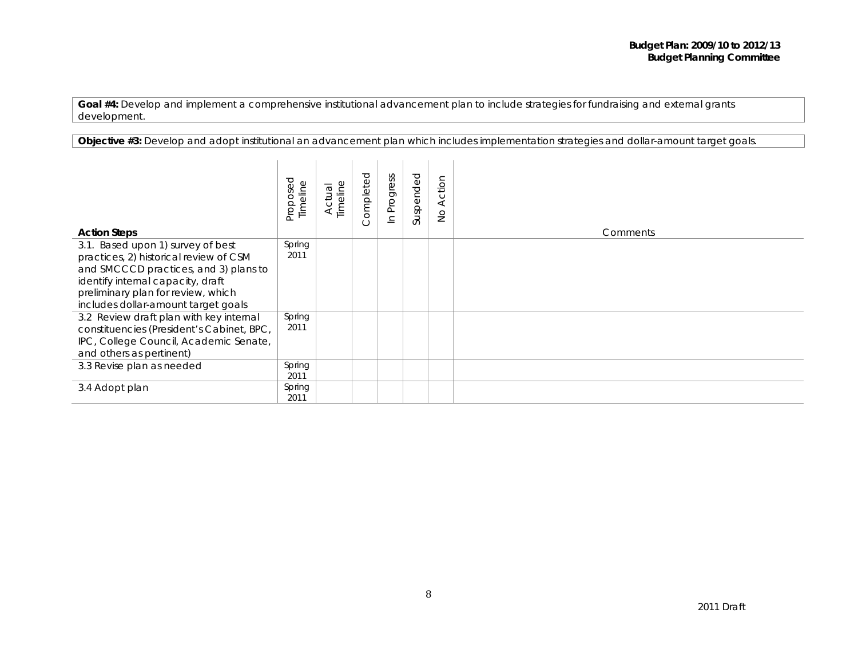**Objective #3:** *Develop and adopt institutional an advancement plan which includes implementation strategies and dollar-amount target goals.*

| <b>Action Steps</b>                                                                                                                                                                                                                    | Proposed<br>Timeline | Timeline<br>Actual | ompleted<br>( ) | Progress<br>$\subseteq$ | Suspended | Action<br>$\frac{1}{2}$ | Comments |
|----------------------------------------------------------------------------------------------------------------------------------------------------------------------------------------------------------------------------------------|----------------------|--------------------|-----------------|-------------------------|-----------|-------------------------|----------|
| 3.1. Based upon 1) survey of best<br>practices, 2) historical review of CSM<br>and SMCCCD practices, and 3) plans to<br>identify internal capacity, draft<br>preliminary plan for review, which<br>includes dollar-amount target goals | Spring<br>2011       |                    |                 |                         |           |                         |          |
| 3.2 Review draft plan with key internal<br>constituencies (President's Cabinet, BPC,<br>IPC, College Council, Academic Senate,<br>and others as pertinent)                                                                             | Spring<br>2011       |                    |                 |                         |           |                         |          |
| 3.3 Revise plan as needed                                                                                                                                                                                                              | Spring<br>2011       |                    |                 |                         |           |                         |          |
| 3.4 Adopt plan                                                                                                                                                                                                                         | Spring<br>2011       |                    |                 |                         |           |                         |          |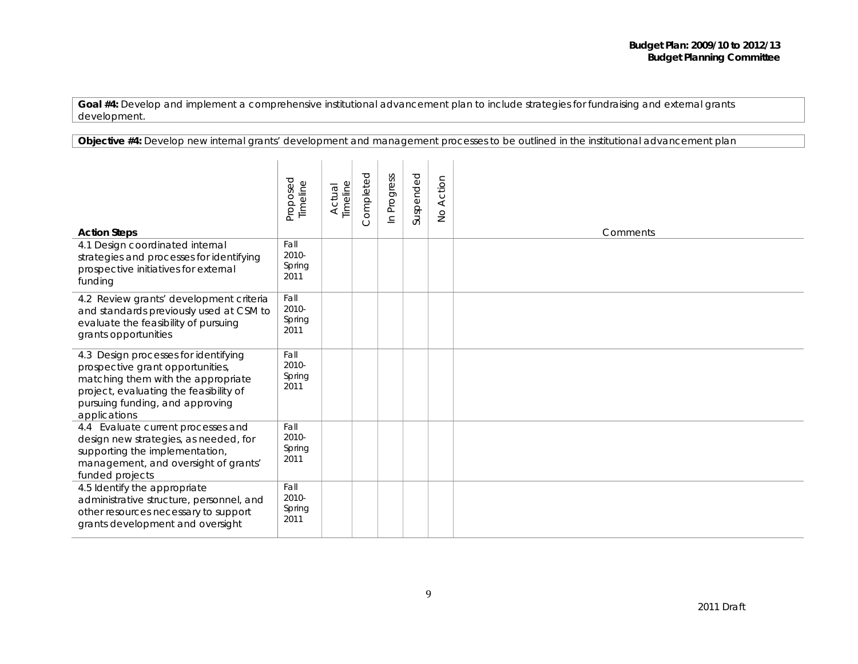**Objective #4:** *Develop new internal grants' development and management processes to be outlined in the institutional advancement plan*

| <b>Action Steps</b>                                                                                                                                                                                         | Proposed<br>Timeline            | Timeline<br>Actual | Completed | Progress<br>$\subseteq$ | Suspended | Action<br>$\frac{1}{2}$ | Comments |
|-------------------------------------------------------------------------------------------------------------------------------------------------------------------------------------------------------------|---------------------------------|--------------------|-----------|-------------------------|-----------|-------------------------|----------|
| 4.1 Design coordinated internal<br>strategies and processes for identifying<br>prospective initiatives for external<br>funding                                                                              | Fall<br>2010-<br>Spring<br>2011 |                    |           |                         |           |                         |          |
| 4.2 Review grants' development criteria<br>and standards previously used at CSM to<br>evaluate the feasibility of pursuing<br>grants opportunities                                                          | Fall<br>2010-<br>Spring<br>2011 |                    |           |                         |           |                         |          |
| 4.3 Design processes for identifying<br>prospective grant opportunities,<br>matching them with the appropriate<br>project, evaluating the feasibility of<br>pursuing funding, and approving<br>applications | Fall<br>2010-<br>Spring<br>2011 |                    |           |                         |           |                         |          |
| 4.4 Evaluate current processes and<br>design new strategies, as needed, for<br>supporting the implementation,<br>management, and oversight of grants'<br>funded projects                                    | Fall<br>2010-<br>Spring<br>2011 |                    |           |                         |           |                         |          |
| 4.5 Identify the appropriate<br>administrative structure, personnel, and<br>other resources necessary to support<br>grants development and oversight                                                        | Fall<br>2010-<br>Spring<br>2011 |                    |           |                         |           |                         |          |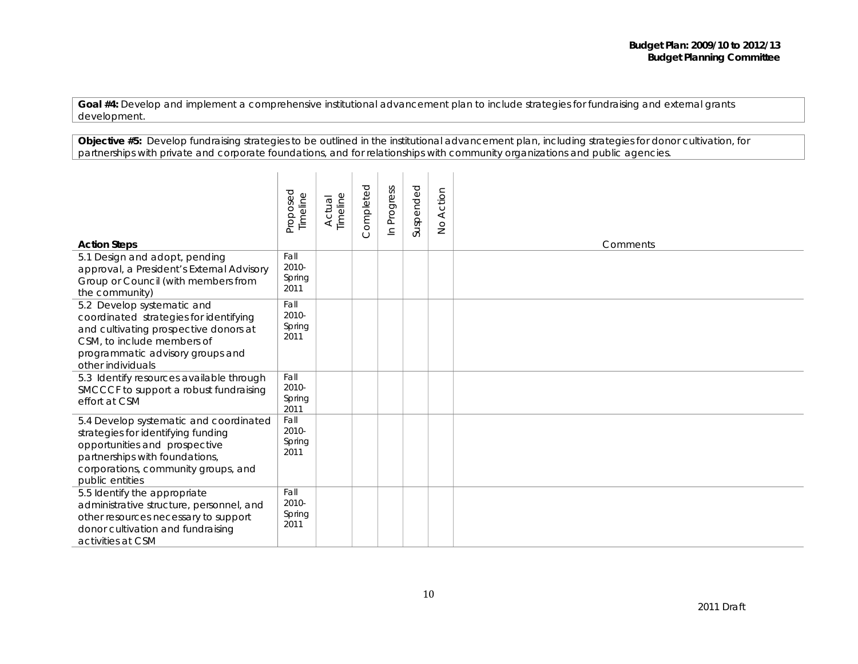**Objective #5:** *Develop fundraising strategies to be outlined in the institutional advancement plan, including strategies for donor cultivation, for partnerships with private and corporate foundations, and for relationships with community organizations and public agencies.*

| <b>Action Steps</b>                                                                                                                                                                                       | Proposed<br>Timeline            | Timeline<br>Actual | Completed | Progress<br>$\subseteq$ | Suspended | Action<br>$\frac{0}{2}$ | Comments |
|-----------------------------------------------------------------------------------------------------------------------------------------------------------------------------------------------------------|---------------------------------|--------------------|-----------|-------------------------|-----------|-------------------------|----------|
| 5.1 Design and adopt, pending<br>approval, a President's External Advisory<br>Group or Council (with members from<br>the community)                                                                       | Fall<br>2010-<br>Spring<br>2011 |                    |           |                         |           |                         |          |
| 5.2 Develop systematic and<br>coordinated strategies for identifying<br>and cultivating prospective donors at<br>CSM, to include members of<br>programmatic advisory groups and<br>other individuals      | Fall<br>2010-<br>Spring<br>2011 |                    |           |                         |           |                         |          |
| 5.3 Identify resources available through<br>SMCCCF to support a robust fundraising<br>effort at CSM                                                                                                       | Fall<br>2010-<br>Spring<br>2011 |                    |           |                         |           |                         |          |
| 5.4 Develop systematic and coordinated<br>strategies for identifying funding<br>opportunities and prospective<br>partnerships with foundations,<br>corporations, community groups, and<br>public entities | Fall<br>2010-<br>Spring<br>2011 |                    |           |                         |           |                         |          |
| 5.5 Identify the appropriate<br>administrative structure, personnel, and<br>other resources necessary to support<br>donor cultivation and fundraising<br>activities at CSM                                | Fall<br>2010-<br>Spring<br>2011 |                    |           |                         |           |                         |          |